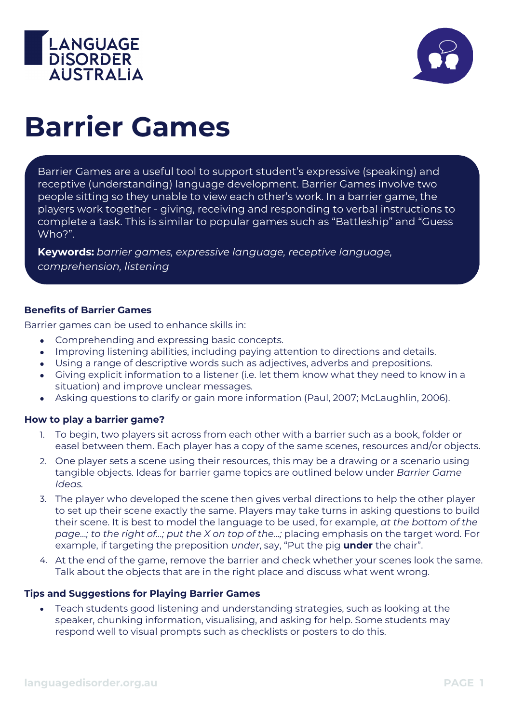



# **Barrier Games**

Barrier Games are a useful tool to support student's expressive (speaking) and receptive (understanding) language development. Barrier Games involve two people sitting so they unable to view each other's work. In a barrier game, the players work together - giving, receiving and responding to verbal instructions to complete a task. This is similar to popular games such as "Battleship" and "Guess Who?".

**Keywords:** *barrier games, expressive language, receptive language, comprehension, listening*

#### **Benefits of Barrier Games**

Barrier games can be used to enhance skills in:

- Comprehending and expressing basic concepts.
- Improving listening abilities, including paying attention to directions and details.
- Using a range of descriptive words such as adjectives, adverbs and prepositions.
- Giving explicit information to a listener (i.e. let them know what they need to know in a situation) and improve unclear messages.
- Asking questions to clarify or gain more information (Paul, 2007; McLaughlin, 2006).

#### **How to play a barrier game?**

- 1. To begin, two players sit across from each other with a barrier such as a book, folder or easel between them. Each player has a copy of the same scenes, resources and/or objects.
- 2. One player sets a scene using their resources, this may be a drawing or a scenario using tangible objects. Ideas for barrier game topics are outlined below under *Barrier Game Ideas.*
- 3. The player who developed the scene then gives verbal directions to help the other player to set up their scene exactly the same. Players may take turns in asking questions to build their scene. It is best to model the language to be used, for example, *at the bottom of the page…; to the right of…; put the X on top of the…;* placing emphasis on the target word. For example, if targeting the preposition *under*, say, "Put the pig **under** the chair".
- 4. At the end of the game, remove the barrier and check whether your scenes look the same. Talk about the objects that are in the right place and discuss what went wrong.

#### **Tips and Suggestions for Playing Barrier Games**

• Teach students good listening and understanding strategies, such as looking at the speaker, chunking information, visualising, and asking for help. Some students may respond well to visual prompts such as checklists or posters to do this.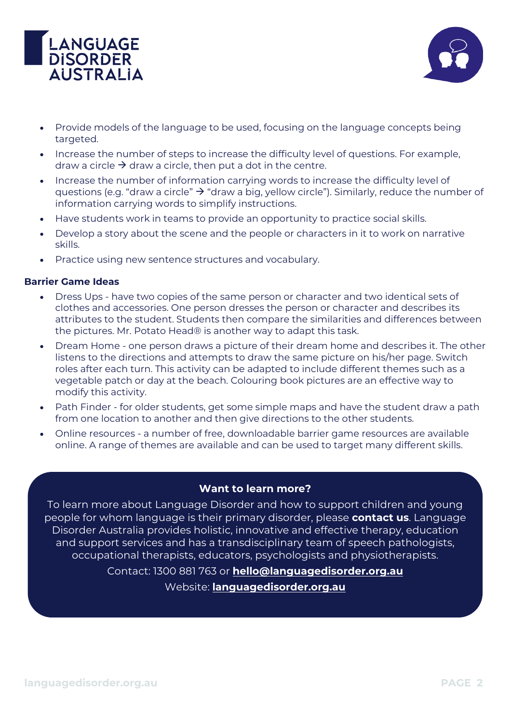



- Provide models of the language to be used, focusing on the language concepts being targeted.
- Increase the number of steps to increase the difficulty level of questions. For example, draw a circle  $\rightarrow$  draw a circle, then put a dot in the centre.
- Increase the number of information carrying words to increase the difficulty level of questions (e.g. "draw a circle"  $\rightarrow$  "draw a big, yellow circle"). Similarly, reduce the number of information carrying words to simplify instructions.
- Have students work in teams to provide an opportunity to practice social skills.
- Develop a story about the scene and the people or characters in it to work on narrative skills.
- Practice using new sentence structures and vocabulary.

### **Barrier Game Ideas**

- Dress Ups have two copies of the same person or character and two identical sets of clothes and accessories. One person dresses the person or character and describes its attributes to the student. Students then compare the similarities and differences between the pictures. Mr. Potato Head® is another way to adapt this task.
- Dream Home one person draws a picture of their dream home and describes it. The other listens to the directions and attempts to draw the same picture on his/her page. Switch roles after each turn. This activity can be adapted to include different themes such as a vegetable patch or day at the beach. Colouring book pictures are an effective way to modify this activity.
- Path Finder for older students, get some simple maps and have the student draw a path from one location to another and then give directions to the other students.
- Online resources a number of free, downloadable barrier game resources are available online. A range of themes are available and can be used to target many different skills.

## **Want to learn more?**

To learn more about Language Disorder and how to support children and young people for whom language is their primary disorder, please **contact us**. Language Disorder Australia provides holistic, innovative and effective therapy, education and support services and has a transdisciplinary team of speech pathologists, occupational therapists, educators, psychologists and physiotherapists.

Contact: 1300 881 763 or **[hello@languagedisorder.org.au](mailto:hello@languagedisorder.org.au)**

Website: **[languagedisorder.org.au](http://www.languagedisorder.org.au/)**